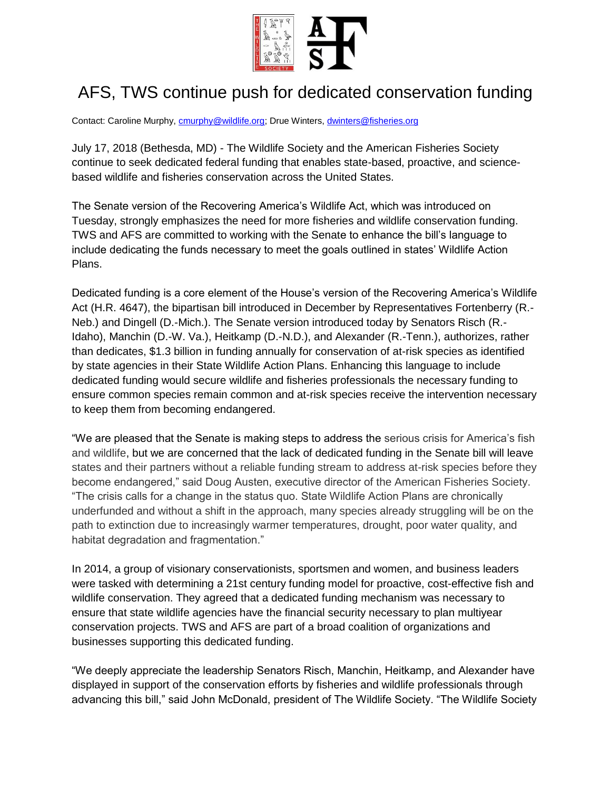

## AFS, TWS continue push for dedicated conservation funding

Contact: Caroline Murphy, **cmurphy@wildlife.org**; Drue Winters, *dwinters@fisheries.org* 

July 17, 2018 (Bethesda, MD) - The Wildlife Society and the American Fisheries Society continue to seek dedicated federal funding that enables state-based, proactive, and sciencebased wildlife and fisheries conservation across the United States.

The Senate version of the Recovering America's Wildlife Act, which was introduced on Tuesday, strongly emphasizes the need for more fisheries and wildlife conservation funding. TWS and AFS are committed to working with the Senate to enhance the bill's language to include dedicating the funds necessary to meet the goals outlined in states' Wildlife Action Plans.

Dedicated funding is a core element of the House's version of the Recovering America's Wildlife Act (H.R. 4647), the bipartisan bill introduced in December by Representatives Fortenberry (R.-Neb.) and Dingell (D.-Mich.). The Senate version introduced today by Senators Risch (R.- Idaho), Manchin (D.-W. Va.), Heitkamp (D.-N.D.), and Alexander (R.-Tenn.), authorizes, rather than dedicates, \$1.3 billion in funding annually for conservation of at-risk species as identified by state agencies in their State Wildlife Action Plans. Enhancing this language to include dedicated funding would secure wildlife and fisheries professionals the necessary funding to ensure common species remain common and at-risk species receive the intervention necessary to keep them from becoming endangered.

"We are pleased that the Senate is making steps to address the serious crisis for America's fish and wildlife, but we are concerned that the lack of dedicated funding in the Senate bill will leave states and their partners without a reliable funding stream to address at-risk species before they become endangered," said Doug Austen, executive director of the American Fisheries Society. "The crisis calls for a change in the status quo. State Wildlife Action Plans are chronically underfunded and without a shift in the approach, many species already struggling will be on the path to extinction due to increasingly warmer temperatures, drought, poor water quality, and habitat degradation and fragmentation."

In 2014, a group of visionary conservationists, sportsmen and women, and business leaders were tasked with determining a 21st century funding model for proactive, cost-effective fish and wildlife conservation. They agreed that a dedicated funding mechanism was necessary to ensure that state wildlife agencies have the financial security necessary to plan multiyear conservation projects. TWS and AFS are part of a broad coalition of organizations and businesses supporting this dedicated funding.

"We deeply appreciate the leadership Senators Risch, Manchin, Heitkamp, and Alexander have displayed in support of the conservation efforts by fisheries and wildlife professionals through advancing this bill," said John McDonald, president of The Wildlife Society. "The Wildlife Society